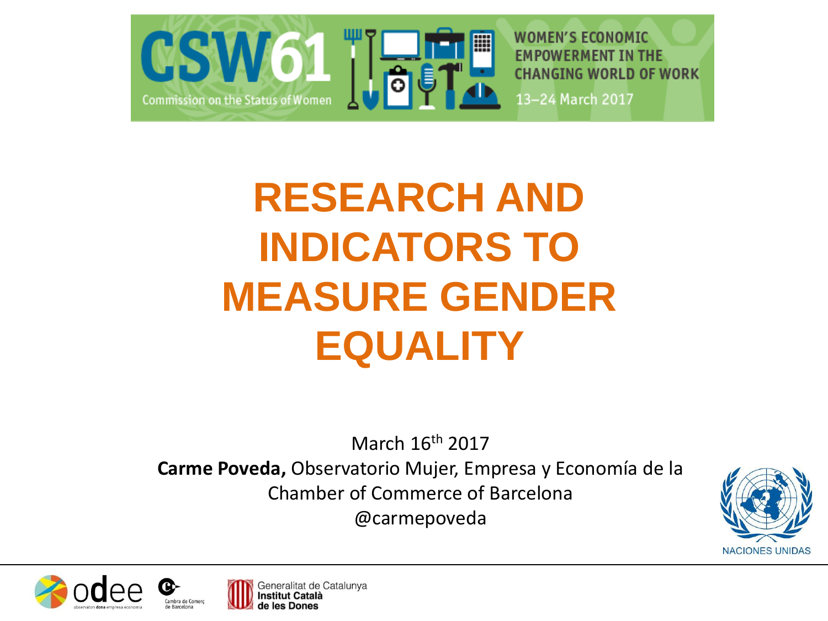

# **RESEARCH AND INDICATORS TO MEASURE GENDER EQUALITY**

March 16th 2017

**Carme Poveda,** Observatorio Mujer, Empresa y Economía de la Chamber of Commerce of Barcelona @carmepoveda





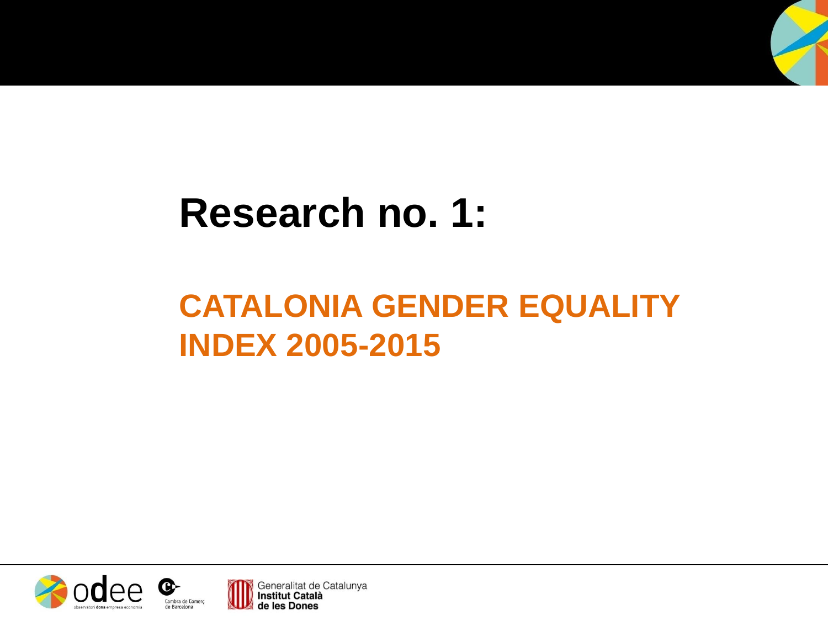## **Research no. 1:**

## **CATALONIA GENDER EQUALITY INDEX 2005-2015**



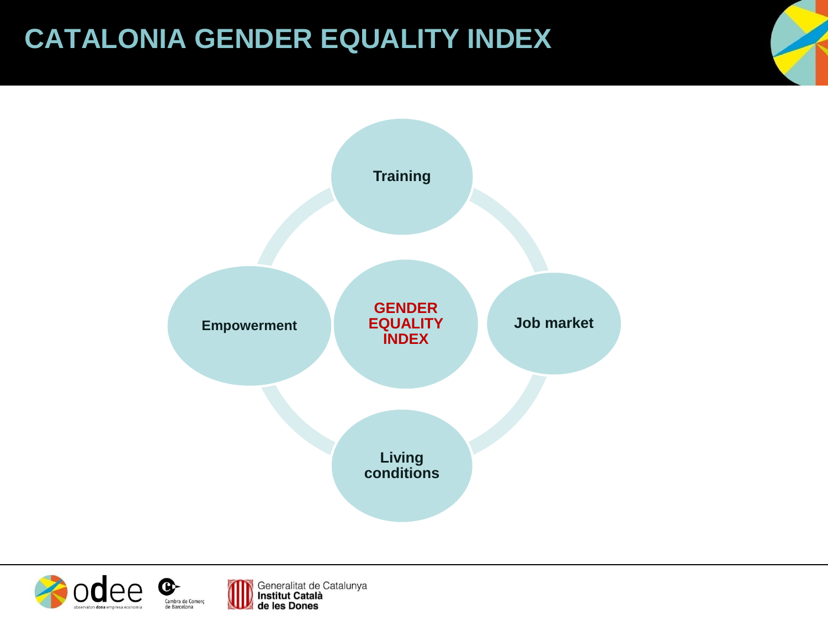### **CATALONIA GENDER EQUALITY INDEX**



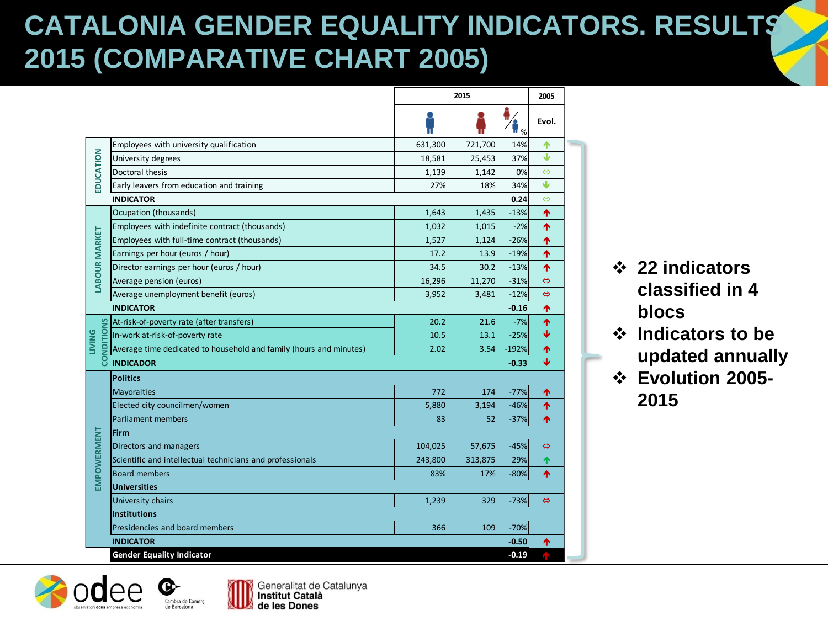### **CATALONIA GENDER EQUALITY INDICATORS. RESULTS 2015 (COMPARATIVE CHART 2005)**

|                           |                                                                    | 2015    |         |                                 | 2005                    |
|---------------------------|--------------------------------------------------------------------|---------|---------|---------------------------------|-------------------------|
|                           |                                                                    |         |         | $\mathbb{F}_{\frac{\alpha}{2}}$ | Evol.                   |
|                           | Employees with university qualification                            | 631,300 | 721,700 | 14%                             | ሳ                       |
|                           | University degrees                                                 | 18,581  | 25,453  | 37%                             | Φ                       |
|                           | Doctoral thesis                                                    | 1,139   | 1,142   | 0%                              | ⇔                       |
| EDUCATION                 | Early leavers from education and training                          | 27%     | 18%     | 34%                             | J                       |
|                           | <b>INDICATOR</b>                                                   |         |         | 0.24                            | ⇔                       |
|                           | Ocupation (thousands)                                              | 1,643   | 1,435   | $-13%$                          | 个                       |
|                           | Employees with indefinite contract (thousands)                     | 1,032   | 1,015   | $-2%$                           | ሳ                       |
|                           | Employees with full-time contract (thousands)                      | 1,527   | 1,124   | $-26%$                          | ቶ                       |
|                           | Earnings per hour (euros / hour)                                   | 17.2    | 13.9    | $-19%$                          | 个                       |
| <b>LABOUR MARKET</b>      | Director earnings per hour (euros / hour)                          | 34.5    | 30.2    | $-13%$                          | ሳ                       |
|                           | Average pension (euros)                                            | 16,296  | 11,270  | $-31%$                          | ⇔                       |
|                           | Average unemployment benefit (euros)                               | 3,952   | 3,481   | $-12%$                          | ⇔                       |
|                           | <b>INDICATOR</b>                                                   |         |         | $-0.16$                         | 个                       |
|                           | At-risk-of-poverty rate (after transfers)                          | 20.2    | 21.6    | $-7%$                           | 个                       |
| NDITIONS<br><b>LIVING</b> | In-work at-risk-of-poverty rate                                    | 10.5    | 13.1    | $-25%$                          | $\overline{\mathbf{v}}$ |
|                           | Average time dedicated to household and family (hours and minutes) | 2.02    | 3.54    | $-192%$                         | ሳ                       |
| ႙                         | <b>INDICADOR</b>                                                   |         |         | $-0.33$                         | $\overline{\mathbf{V}}$ |
|                           | <b>Politics</b>                                                    |         |         |                                 |                         |
|                           | Mayoralties                                                        | 772     | 174     | $-77%$                          | 个                       |
|                           | Elected city councilmen/women                                      | 5,880   | 3,194   | $-46%$                          | ተ                       |
|                           | <b>Parliament members</b>                                          | 83      | 52      | $-37%$                          | 个                       |
|                           | <b>Firm</b>                                                        |         |         |                                 |                         |
| <b>EMPOWERMENT</b>        | Directors and managers                                             | 104,025 | 57,675  | $-45%$                          | ⇔                       |
|                           | Scientific and intellectual technicians and professionals          | 243,800 | 313,875 | 29%                             | 个                       |
|                           | <b>Board members</b>                                               | 83%     | 17%     | $-80%$                          | 个                       |
|                           | <b>Universities</b>                                                |         |         |                                 |                         |
|                           | University chairs                                                  | 1,239   | 329     | $-73%$                          | ⇔                       |
|                           | <b>Institutions</b>                                                |         |         |                                 |                         |
|                           | Presidencies and board members                                     | 366     | 109     | $-70%$                          |                         |
|                           | <b>INDICATOR</b>                                                   |         |         | $-0.50$                         | 个                       |
|                           | <b>Gender Equality Indicator</b>                                   |         |         | $-0.19$                         |                         |

- **22 indicators classified in 4 blocs**
- **Indicators to be updated annually**
- **Evolution 2005- 2015**



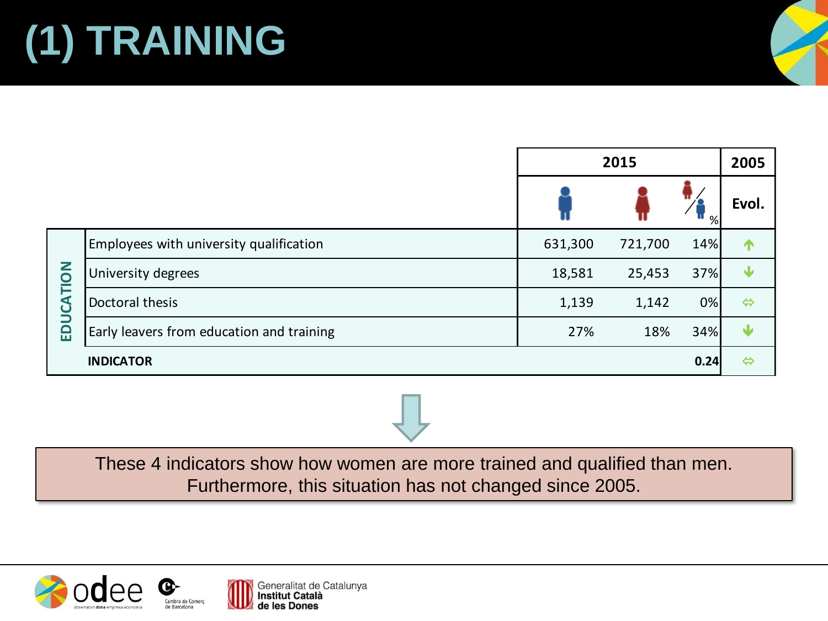# **(1) TRAINING**

|           |                                           | 2015    |         |      | 2005              |
|-----------|-------------------------------------------|---------|---------|------|-------------------|
|           |                                           |         |         | %    | Evol.             |
| EDUCATION | Employees with university qualification   | 631,300 | 721,700 | 14%  | Т                 |
|           | University degrees                        | 18,581  | 25,453  | 37%  | w                 |
|           | Doctoral thesis                           | 1,139   | 1,142   | 0%   | $\Leftrightarrow$ |
|           | Early leavers from education and training | 27%     | 18%     | 34%  | W                 |
|           | <b>INDICATOR</b>                          |         |         | 0.24 | $\Leftrightarrow$ |





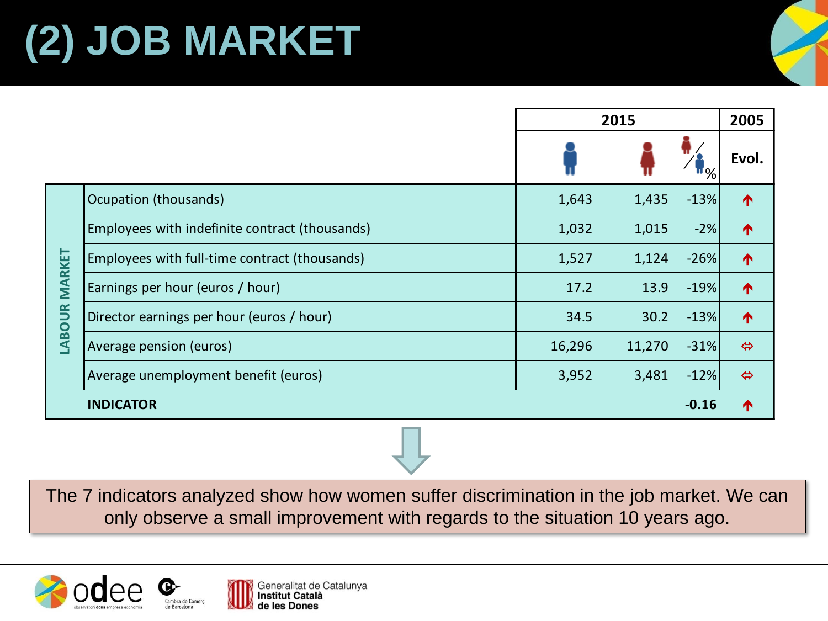# **(2) JOB MARKET**

|                               |                                                | 2015   |        |             | 2005              |
|-------------------------------|------------------------------------------------|--------|--------|-------------|-------------------|
|                               |                                                |        |        | <b>II</b> % | Evol.             |
| <b>MARKET</b><br><b>ABOUR</b> | Ocupation (thousands)                          | 1,643  | 1,435  | $-13%$      | ↑                 |
|                               | Employees with indefinite contract (thousands) | 1,032  | 1,015  | $-2%$       | ↑                 |
|                               | Employees with full-time contract (thousands)  | 1,527  | 1,124  | $-26%$      | ↑                 |
|                               | Earnings per hour (euros / hour)               | 17.2   | 13.9   | $-19%$      | ↑                 |
|                               | Director earnings per hour (euros / hour)      | 34.5   | 30.2   | $-13%$      | ↑                 |
|                               | Average pension (euros)                        | 16,296 | 11,270 | $-31%$      | $\Leftrightarrow$ |
|                               | Average unemployment benefit (euros)           | 3,952  | 3,481  | $-12%$      | $\Leftrightarrow$ |
|                               | <b>INDICATOR</b>                               |        |        | $-0.16$     | T                 |

The 7 indicators analyzed show how women suffer discrimination in the job market. We can only observe a small improvement with regards to the situation 10 years ago.



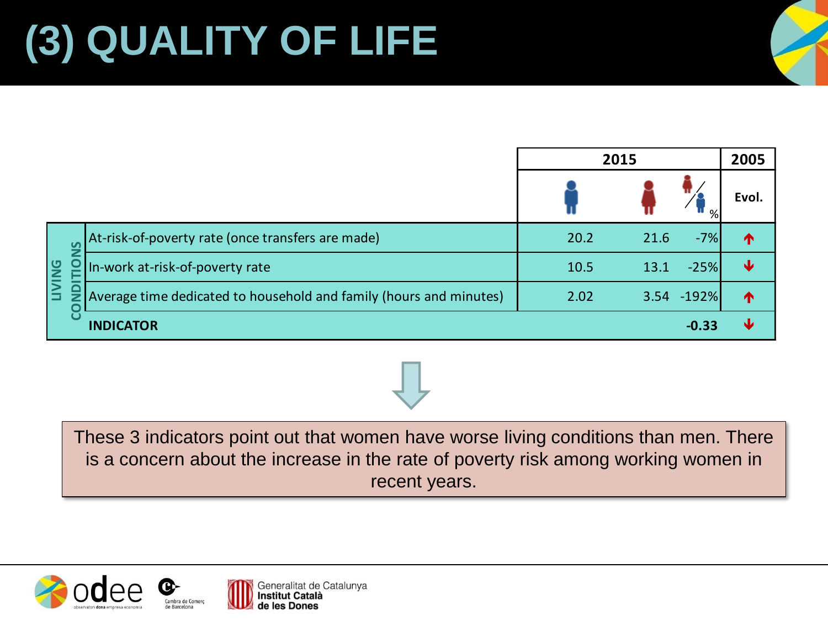|                     |                                                                    | 2015 |      |            | 2005             |
|---------------------|--------------------------------------------------------------------|------|------|------------|------------------|
|                     |                                                                    |      |      | %          | Evol.            |
| <b>PS</b><br>$\geq$ | At-risk-of-poverty rate (once transfers are made)                  | 20.2 | 21.6 | $-7%$      | T                |
|                     | In-work at-risk-of-poverty rate                                    | 10.5 | 13.1 | $-25%$     | Ψ                |
|                     | Average time dedicated to household and family (hours and minutes) | 2.02 |      | 3.54 -192% | $\blacktriangle$ |
|                     | <b>INDICATOR</b>                                                   |      |      | $-0.33$    | ъL.              |

These 3 indicators point out that women have worse living conditions than men. There is a concern about the increase in the rate of poverty risk among working women in recent years.



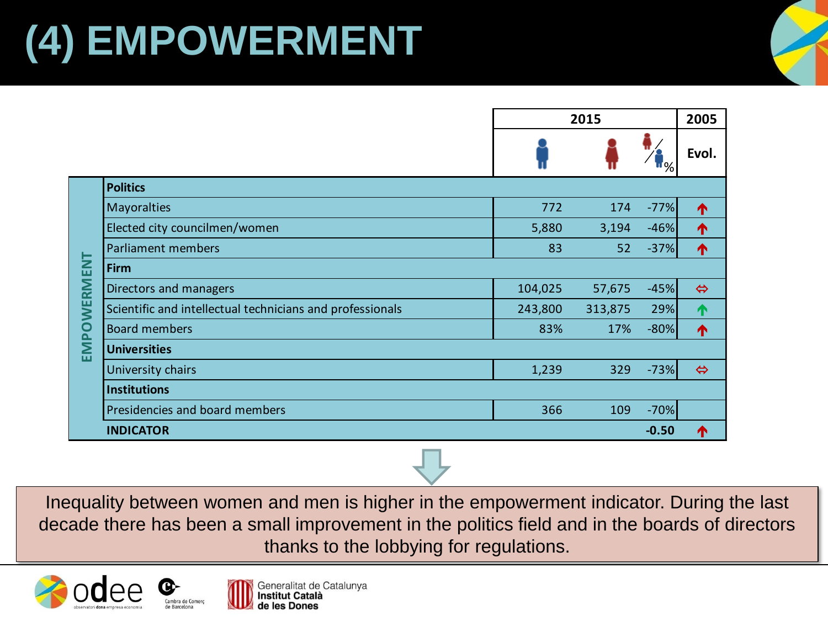## **(4) EMPOWERMENT**

|                                                                                                                                                                                                             |                                                           | 2015    |         |         | 2005              |  |
|-------------------------------------------------------------------------------------------------------------------------------------------------------------------------------------------------------------|-----------------------------------------------------------|---------|---------|---------|-------------------|--|
|                                                                                                                                                                                                             |                                                           |         |         |         | Evol.             |  |
|                                                                                                                                                                                                             | <b>Politics</b>                                           |         |         |         |                   |  |
|                                                                                                                                                                                                             | Mayoralties                                               | 772     | 174     | $-77%$  | ↑                 |  |
|                                                                                                                                                                                                             | Elected city councilmen/women                             | 5,880   | 3,194   | $-46%$  | ↑                 |  |
|                                                                                                                                                                                                             | Parliament members                                        | 83      | 52      | $-37%$  | 个                 |  |
|                                                                                                                                                                                                             | Firm                                                      |         |         |         |                   |  |
|                                                                                                                                                                                                             | Directors and managers                                    | 104,025 | 57,675  | $-45%$  | $\Leftrightarrow$ |  |
|                                                                                                                                                                                                             | Scientific and intellectual technicians and professionals | 243,800 | 313,875 | 29%     | ↑                 |  |
|                                                                                                                                                                                                             | <b>Board members</b>                                      | 83%     | 17%     | $-80%$  | ↑                 |  |
| EMPOWERMENT                                                                                                                                                                                                 | <b>Universities</b>                                       |         |         |         |                   |  |
|                                                                                                                                                                                                             | University chairs                                         | 1,239   | 329     | $-73%$  | $\Leftrightarrow$ |  |
|                                                                                                                                                                                                             | <b>Institutions</b>                                       |         |         |         |                   |  |
|                                                                                                                                                                                                             | Presidencies and board members                            | 366     | 109     | $-70%$  |                   |  |
|                                                                                                                                                                                                             | <b>INDICATOR</b>                                          |         |         | $-0.50$ | ↑                 |  |
|                                                                                                                                                                                                             |                                                           |         |         |         |                   |  |
| quality between women and men is higher in the empowerment indicator. During<br>de there has been a small improvement in the politics field and in the boards of<br>thanks to the lobbying for regulations. |                                                           |         |         |         |                   |  |

Inequality between women and men is higher in the empowerment indicator. During the last decade there has been a small improvement in the politics field and in the boards of directors



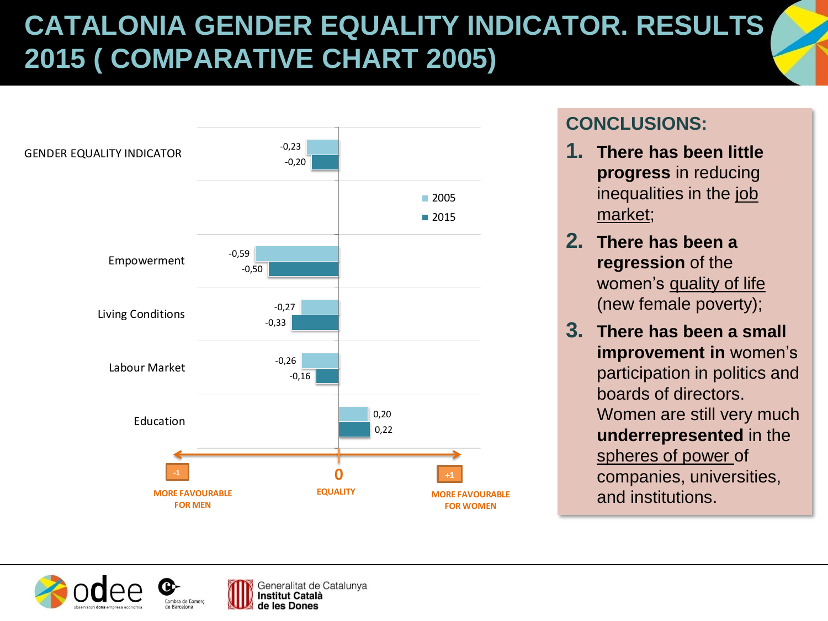## **CATALONIA GENDER EQUALITY INDICATOR. RESULTS 2015 ( COMPARATIVE CHART 2005)**



#### **CONCLUSIONS:**

- **1. There has been little progress** in reducing inequalities in the job market;
- **2. There has been a regression** of the women's quality of life (new female poverty);
- **3. There has been a small improvement in** women's participation in politics and boards of directors. Women are still very much **underrepresented** in the spheres of power of companies, universities, and institutions.

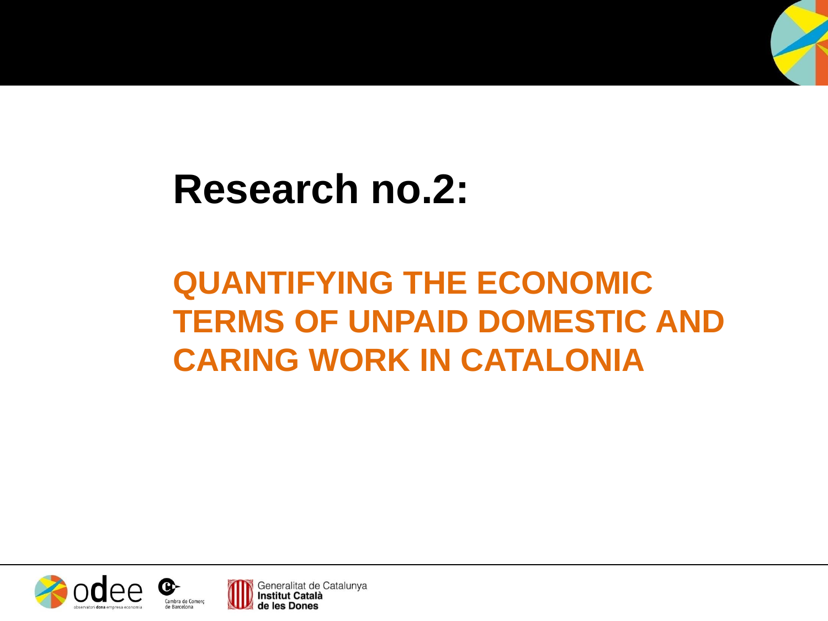

## **QUANTIFYING THE ECONOMIC TERMS OF UNPAID DOMESTIC AND CARING WORK IN CATALONIA**



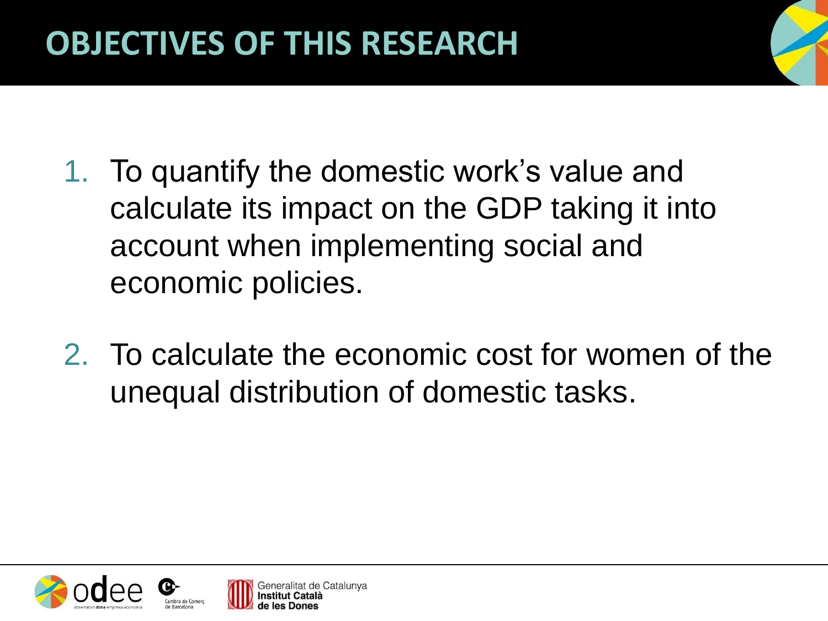- 1. To quantify the domestic work's value and calculate its impact on the GDP taking it into account when implementing social and economic policies.
- 2. To calculate the economic cost for women of the unequal distribution of domestic tasks.



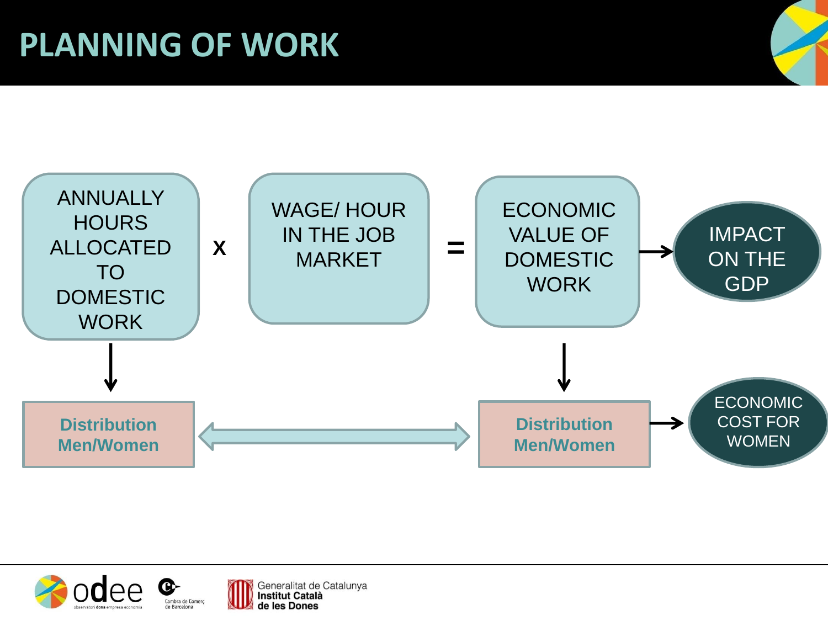## **PLANNING OF WORK**





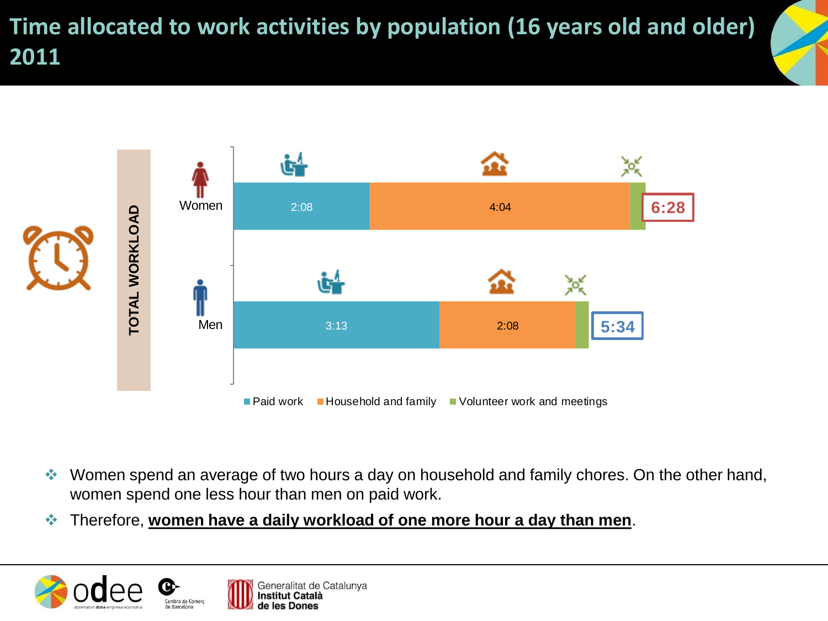**Time allocated to work activities by population (16 years old and older) 2011**



- Women spend an average of two hours a day on household and family chores. On the other hand, women spend one less hour than men on paid work.
- 

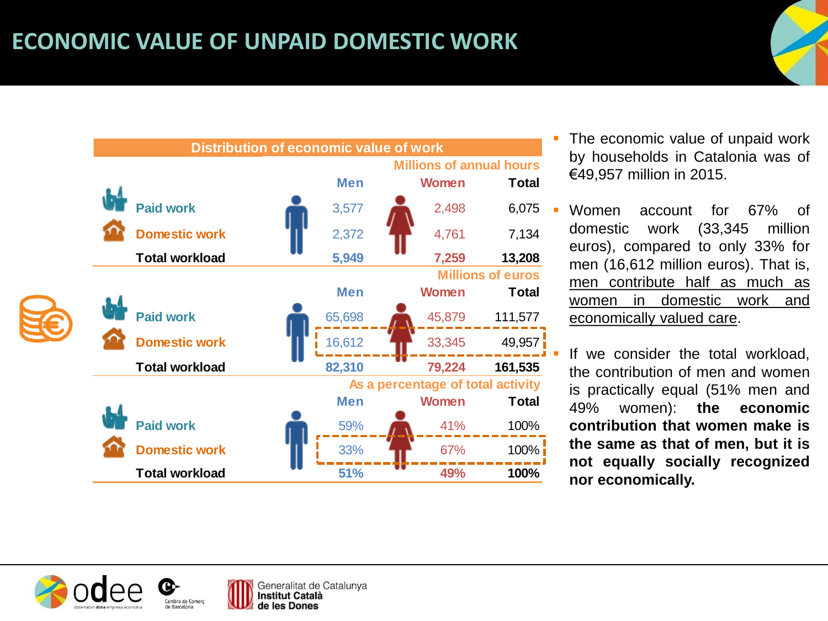#### **ECONOMIC VALUE OF UNPAID DOMESTIC WORK**



- The economic value of unpaid work by households in Catalonia was of €49,957 million in 2015.
- Women account for 67% of domestic work (33,345 million euros), compared to only 33% for men (16,612 million euros). That is, men contribute half as much as women in domestic work and economically valued care.

 If we consider the total workload, the contribution of men and women is practically equal (51% men and 49% women): **the economic contribution that women make is the same as that of men, but it is not equally socially recognized nor economically.**



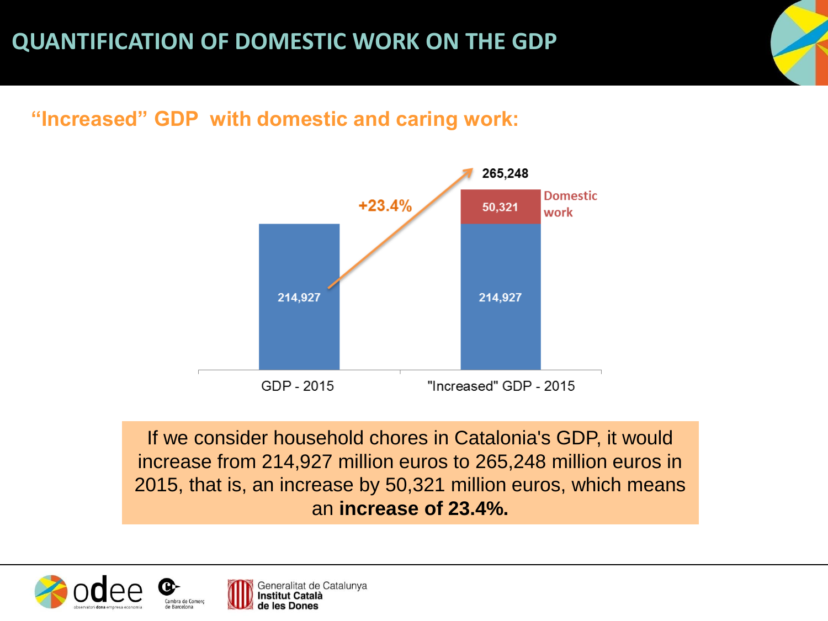#### **"Increased" GDP with domestic and caring work:**



If we consider household chores in Catalonia's GDP, it would increase from 214,927 million euros to 265,248 million euros in 2015, that is, an increase by 50,321 million euros, which means an **increase of 23.4%.**

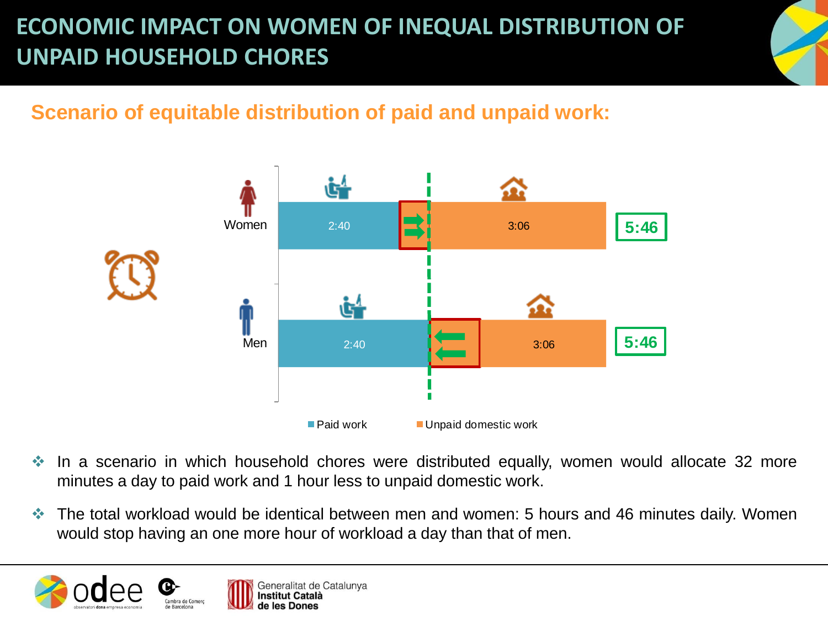### **ECONOMIC IMPACT ON WOMEN OF INEQUAL DISTRIBUTION OF UNPAID HOUSEHOLD CHORES**

### **Scenario of equitable distribution of paid and unpaid work:**



- In a scenario in which household chores were distributed equally, women would allocate 32 more minutes a day to paid work and 1 hour less to unpaid domestic work.
- The total workload would be identical between men and women: 5 hours and 46 minutes daily. Women would stop having an one more hour of workload a day than that of men.

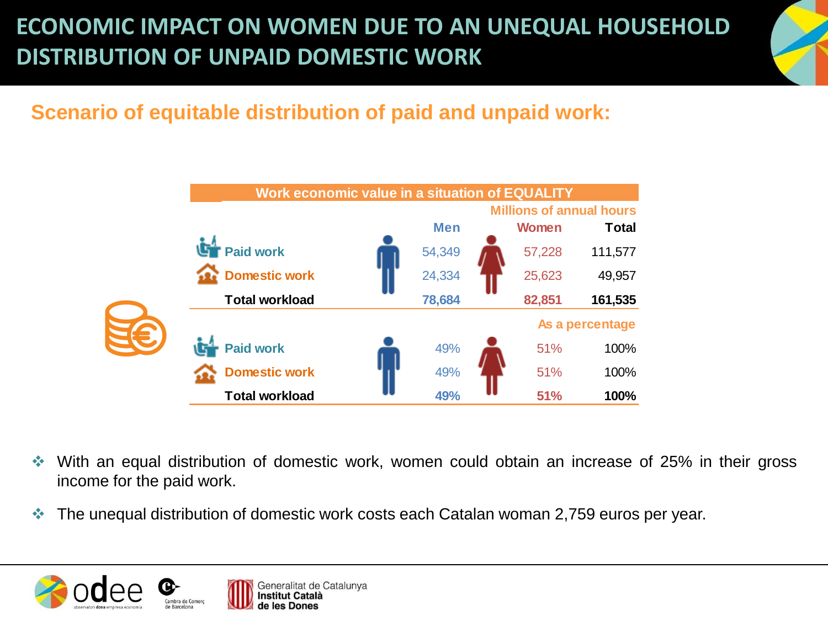### **ECONOMIC IMPACT ON WOMEN DUE TO AN UNEQUAL HOUSEHOLD DISTRIBUTION OF UNPAID DOMESTIC WORK**

#### **Scenario of equitable distribution of paid and unpaid work:**



- With an equal distribution of domestic work, women could obtain an increase of 25% in their gross income for the paid work.
- The unequal distribution of domestic work costs each Catalan woman 2,759 euros per year.